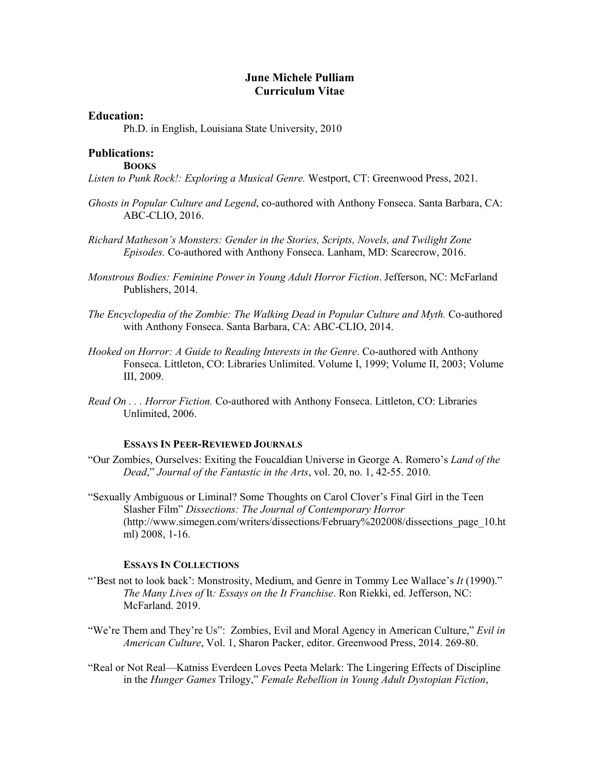## **June Michele Pulliam Curriculum Vitae**

### **Education:**

Ph.D. in English, Louisiana State University, 2010

#### **Publications: BOOKS**

*Listen to Punk Rock!: Exploring a Musical Genre.* Westport, CT: Greenwood Press, 2021.

- *Ghosts in Popular Culture and Legend*, co-authored with Anthony Fonseca. Santa Barbara, CA: ABC-CLIO, 2016.
- *Richard Matheson's Monsters: Gender in the Stories, Scripts, Novels, and Twilight Zone Episodes.* Co-authored with Anthony Fonseca. Lanham, MD: Scarecrow, 2016.
- *Monstrous Bodies: Feminine Power in Young Adult Horror Fiction*. Jefferson, NC: McFarland Publishers, 2014.
- *The Encyclopedia of the Zombie: The Walking Dead in Popular Culture and Myth.* Co-authored with Anthony Fonseca. Santa Barbara, CA: ABC-CLIO, 2014.
- Fonseca. Littleton, CO: Libraries Unlimited. Volume I, 1999; Volume II, 2003; Volume *Hooked on Horror: A Guide to Reading Interests in the Genre*. Co-authored with Anthony III, 2009.
- *Read On . . . Horror Fiction.* Co-authored with Anthony Fonseca. Littleton, CO: Libraries Unlimited, 2006.

#### **ESSAYS IN PEER-REVIEWED JOURNALS**

- "Our Zombies, Ourselves: Exiting the Foucaldian Universe in George A. Romero's *Land of the Dead*," *Journal of the Fantastic in the Arts*, vol. 20, no. 1, 42-55. 2010.
- Slasher Film" *Dissections: The Journal of Contemporary Horror*  "Sexually Ambiguous or Liminal? Some Thoughts on Carol Clover's Final Girl in the Teen ([http://www.simegen.com/writers/dissections/February%202008/dissections\\_page\\_10.ht](http://www.simegen.com/writers/dissections/February%202008/dissections_page_10.ht) ml) 2008, 1-16.

## **ESSAYS IN COLLECTIONS**

- "'Best not to look back': Monstrosity, Medium, and Genre in Tommy Lee Wallace's *It* (1990)." *The Many Lives of* It*: Essays on the It Franchise*. Ron Riekki, ed. Jefferson, NC: McFarland. 2019.
- "We're Them and They're Us": Zombies, Evil and Moral Agency in American Culture," Evil in *American Culture*, Vol. 1, Sharon Packer, editor. Greenwood Press, 2014. 269-80.
- "Real or Not Real—Katniss Everdeen Loves Peeta Melark: The Lingering Effects of Discipline in the *Hunger Games* Trilogy," *Female Rebellion in Young Adult Dystopian Fiction*,